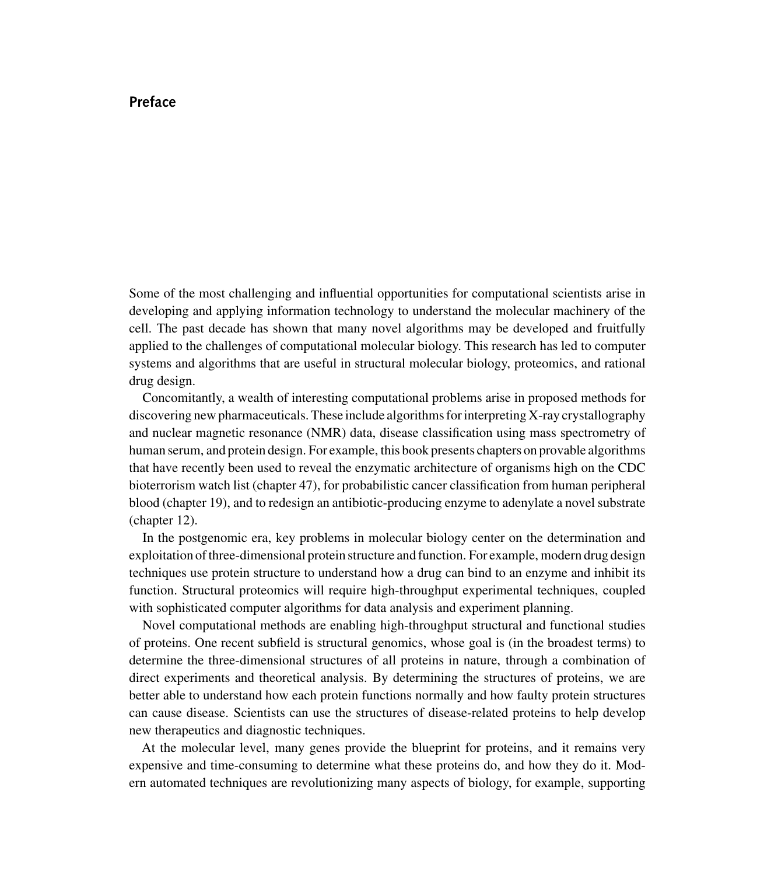## **Preface**

Some of the most challenging and influential opportunities for computational scientists arise in developing and applying information technology to understand the molecular machinery of the cell. The past decade has shown that many novel algorithms may be developed and fruitfully applied to the challenges of computational molecular biology. This research has led to computer systems and algorithms that are useful in structural molecular biology, proteomics, and rational drug design.

Concomitantly, a wealth of interesting computational problems arise in proposed methods for discovering new pharmaceuticals. These include algorithms for interpreting X-ray crystallography and nuclear magnetic resonance (NMR) data, disease classification using mass spectrometry of human serum, and protein design. For example, this book presents chapters on provable algorithms that have recently been used to reveal the enzymatic architecture of organisms high on the CDC bioterrorism watch list (chapter 47), for probabilistic cancer classification from human peripheral blood (chapter 19), and to redesign an antibiotic-producing enzyme to adenylate a novel substrate (chapter 12).

In the postgenomic era, key problems in molecular biology center on the determination and exploitation of three-dimensional protein structure and function. For example, modern drug design techniques use protein structure to understand how a drug can bind to an enzyme and inhibit its function. Structural proteomics will require high-throughput experimental techniques, coupled with sophisticated computer algorithms for data analysis and experiment planning.

Novel computational methods are enabling high-throughput structural and functional studies of proteins. One recent subfield is structural genomics, whose goal is (in the broadest terms) to determine the three-dimensional structures of all proteins in nature, through a combination of direct experiments and theoretical analysis. By determining the structures of proteins, we are better able to understand how each protein functions normally and how faulty protein structures can cause disease. Scientists can use the structures of disease-related proteins to help develop new therapeutics and diagnostic techniques.

At the molecular level, many genes provide the blueprint for proteins, and it remains very expensive and time-consuming to determine what these proteins do, and how they do it. Modern automated techniques are revolutionizing many aspects of biology, for example, supporting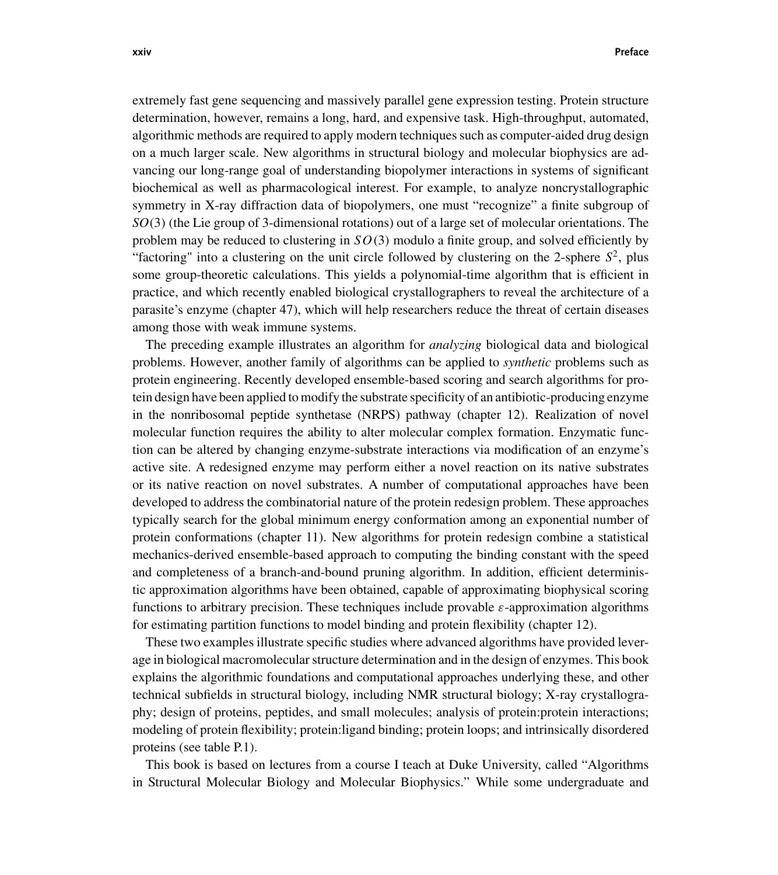extremely fast gene sequencing and massively parallel gene expression testing. Protein structure determination, however, remains a long, hard, and expensive task. High-throughput, automated, algorithmic methods are required to apply modern techniques such as computer-aided drug design on a much larger scale. New algorithms in structural biology and molecular biophysics are advancing our long-range goal of understanding biopolymer interactions in systems of significant biochemical as well as pharmacological interest. For example, to analyze noncrystallographic symmetry in X-ray diffraction data of biopolymers, one must "recognize" a finite subgroup of *SO*(3) (the Lie group of 3-dimensional rotations) out of a large set of molecular orientations. The problem may be reduced to clustering in  $SO(3)$  modulo a finite group, and solved efficiently by "factoring" into a clustering on the unit circle followed by clustering on the 2-sphere  $S^2$ , plus some group-theoretic calculations. This yields a polynomial-time algorithm that is efficient in practice, and which recently enabled biological crystallographers to reveal the architecture of a parasite's enzyme (chapter 47), which will help researchers reduce the threat of certain diseases among those with weak immune systems.

The preceding example illustrates an algorithm for *analyzing* biological data and biological problems. However, another family of algorithms can be applied to *synthetic* problems such as protein engineering. Recently developed ensemble-based scoring and search algorithms for protein design have been applied to modify the substrate specificity of an antibiotic-producing enzyme in the nonribosomal peptide synthetase (NRPS) pathway (chapter 12). Realization of novel molecular function requires the ability to alter molecular complex formation. Enzymatic function can be altered by changing enzyme-substrate interactions via modification of an enzyme's active site. A redesigned enzyme may perform either a novel reaction on its native substrates or its native reaction on novel substrates. A number of computational approaches have been developed to address the combinatorial nature of the protein redesign problem. These approaches typically search for the global minimum energy conformation among an exponential number of protein conformations (chapter 11). New algorithms for protein redesign combine a statistical mechanics-derived ensemble-based approach to computing the binding constant with the speed and completeness of a branch-and-bound pruning algorithm. In addition, efficient deterministic approximation algorithms have been obtained, capable of approximating biophysical scoring functions to arbitrary precision. These techniques include provable  $\varepsilon$ -approximation algorithms for estimating partition functions to model binding and protein flexibility (chapter 12).

These two examples illustrate specific studies where advanced algorithms have provided leverage in biological macromolecular structure determination and in the design of enzymes. This book explains the algorithmic foundations and computational approaches underlying these, and other technical subfields in structural biology, including NMR structural biology; X-ray crystallography; design of proteins, peptides, and small molecules; analysis of protein:protein interactions; modeling of protein flexibility; protein:ligand binding; protein loops; and intrinsically disordered proteins (see table P.1).

This book is based on lectures from a course I teach at Duke University, called "Algorithms in Structural Molecular Biology and Molecular Biophysics." While some undergraduate and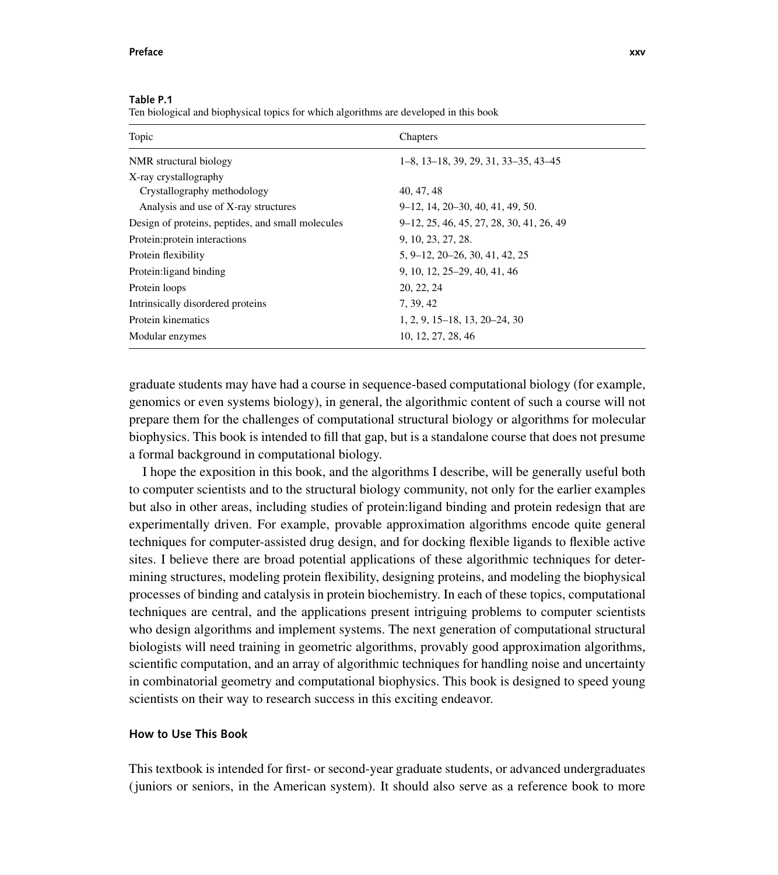## **Preface xxv**

| Topic                                             | Chapters                                                 |
|---------------------------------------------------|----------------------------------------------------------|
| NMR structural biology                            | $1-8$ , $13-18$ , $39$ , $29$ , $31$ , $33-35$ , $43-45$ |
| X-ray crystallography                             |                                                          |
| Crystallography methodology                       | 40, 47, 48                                               |
| Analysis and use of X-ray structures              | 9-12, 14, 20-30, 40, 41, 49, 50.                         |
| Design of proteins, peptides, and small molecules | 9–12, 25, 46, 45, 27, 28, 30, 41, 26, 49                 |
| Protein: protein interactions                     | 9, 10, 23, 27, 28.                                       |
| Protein flexibility                               | 5, 9–12, 20–26, 30, 41, 42, 25                           |
| Protein: ligand binding                           | 9, 10, 12, 25–29, 40, 41, 46                             |
| Protein loops                                     | 20, 22, 24                                               |
| Intrinsically disordered proteins                 | 7, 39, 42                                                |
| Protein kinematics                                | $1, 2, 9, 15-18, 13, 20-24, 30$                          |
| Modular enzymes                                   | 10, 12, 27, 28, 46                                       |

**Table P.1**

Ten biological and biophysical topics for which algorithms are developed in this book

graduate students may have had a course in sequence-based computational biology (for example, genomics or even systems biology), in general, the algorithmic content of such a course will not prepare them for the challenges of computational structural biology or algorithms for molecular biophysics. This book is intended to fill that gap, but is a standalone course that does not presume a formal background in computational biology.

I hope the exposition in this book, and the algorithms I describe, will be generally useful both to computer scientists and to the structural biology community, not only for the earlier examples but also in other areas, including studies of protein:ligand binding and protein redesign that are experimentally driven. For example, provable approximation algorithms encode quite general techniques for computer-assisted drug design, and for docking flexible ligands to flexible active sites. I believe there are broad potential applications of these algorithmic techniques for determining structures, modeling protein flexibility, designing proteins, and modeling the biophysical processes of binding and catalysis in protein biochemistry. In each of these topics, computational techniques are central, and the applications present intriguing problems to computer scientists who design algorithms and implement systems. The next generation of computational structural biologists will need training in geometric algorithms, provably good approximation algorithms, scientific computation, and an array of algorithmic techniques for handling noise and uncertainty in combinatorial geometry and computational biophysics. This book is designed to speed young scientists on their way to research success in this exciting endeavor.

## **How to Use This Book**

This textbook is intended for first- or second-year graduate students, or advanced undergraduates (juniors or seniors, in the American system). It should also serve as a reference book to more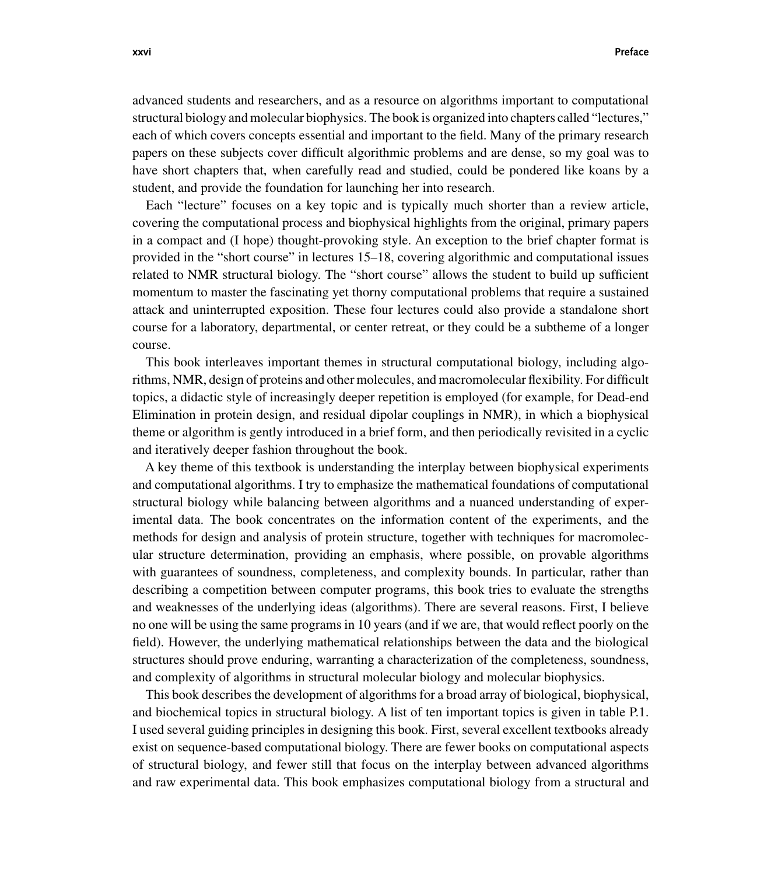advanced students and researchers, and as a resource on algorithms important to computational structural biology and molecular biophysics. The book is organized into chapters called "lectures," each of which covers concepts essential and important to the field. Many of the primary research papers on these subjects cover difficult algorithmic problems and are dense, so my goal was to have short chapters that, when carefully read and studied, could be pondered like koans by a student, and provide the foundation for launching her into research.

Each "lecture" focuses on a key topic and is typically much shorter than a review article, covering the computational process and biophysical highlights from the original, primary papers in a compact and (I hope) thought-provoking style. An exception to the brief chapter format is provided in the "short course" in lectures 15–18, covering algorithmic and computational issues related to NMR structural biology. The "short course" allows the student to build up sufficient momentum to master the fascinating yet thorny computational problems that require a sustained attack and uninterrupted exposition. These four lectures could also provide a standalone short course for a laboratory, departmental, or center retreat, or they could be a subtheme of a longer course.

This book interleaves important themes in structural computational biology, including algorithms, NMR, design of proteins and other molecules, and macromolecular flexibility. For difficult topics, a didactic style of increasingly deeper repetition is employed (for example, for Dead-end Elimination in protein design, and residual dipolar couplings in NMR), in which a biophysical theme or algorithm is gently introduced in a brief form, and then periodically revisited in a cyclic and iteratively deeper fashion throughout the book.

A key theme of this textbook is understanding the interplay between biophysical experiments and computational algorithms. I try to emphasize the mathematical foundations of computational structural biology while balancing between algorithms and a nuanced understanding of experimental data. The book concentrates on the information content of the experiments, and the methods for design and analysis of protein structure, together with techniques for macromolecular structure determination, providing an emphasis, where possible, on provable algorithms with guarantees of soundness, completeness, and complexity bounds. In particular, rather than describing a competition between computer programs, this book tries to evaluate the strengths and weaknesses of the underlying ideas (algorithms). There are several reasons. First, I believe no one will be using the same programs in 10 years (and if we are, that would reflect poorly on the field). However, the underlying mathematical relationships between the data and the biological structures should prove enduring, warranting a characterization of the completeness, soundness, and complexity of algorithms in structural molecular biology and molecular biophysics.

This book describes the development of algorithms for a broad array of biological, biophysical, and biochemical topics in structural biology. A list of ten important topics is given in table P.1. I used several guiding principles in designing this book. First, several excellent textbooks already exist on sequence-based computational biology. There are fewer books on computational aspects of structural biology, and fewer still that focus on the interplay between advanced algorithms and raw experimental data. This book emphasizes computational biology from a structural and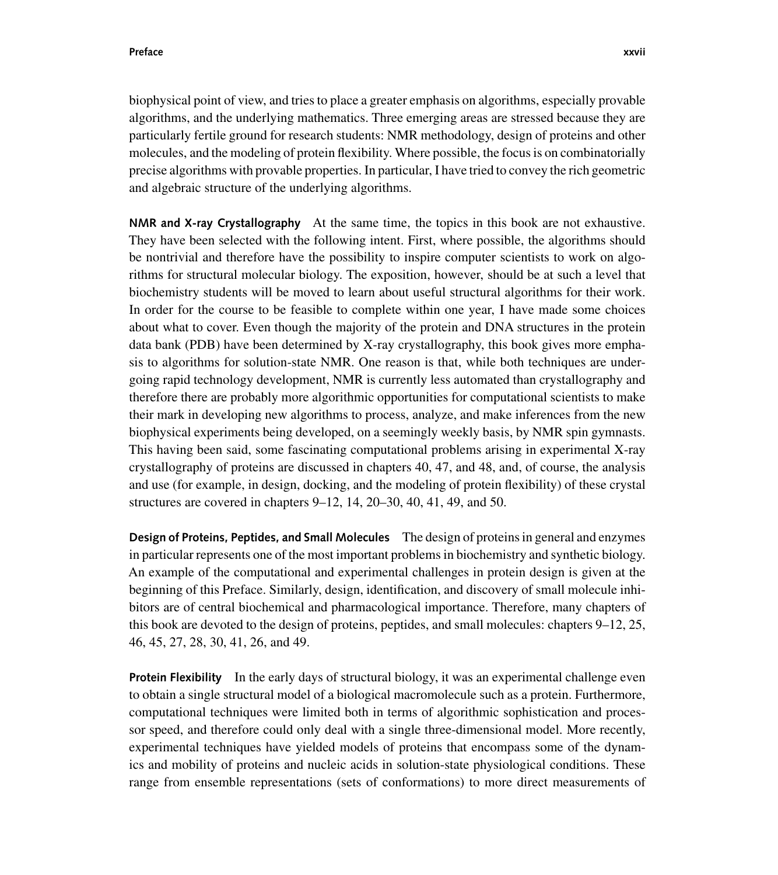**Preface xxvii**

biophysical point of view, and tries to place a greater emphasis on algorithms, especially provable algorithms, and the underlying mathematics. Three emerging areas are stressed because they are particularly fertile ground for research students: NMR methodology, design of proteins and other molecules, and the modeling of protein flexibility. Where possible, the focus is on combinatorially precise algorithms with provable properties. In particular, I have tried to convey the rich geometric and algebraic structure of the underlying algorithms.

**NMR and X-ray Crystallography** At the same time, the topics in this book are not exhaustive. They have been selected with the following intent. First, where possible, the algorithms should be nontrivial and therefore have the possibility to inspire computer scientists to work on algorithms for structural molecular biology. The exposition, however, should be at such a level that biochemistry students will be moved to learn about useful structural algorithms for their work. In order for the course to be feasible to complete within one year, I have made some choices about what to cover. Even though the majority of the protein and DNA structures in the protein data bank (PDB) have been determined by X-ray crystallography, this book gives more emphasis to algorithms for solution-state NMR. One reason is that, while both techniques are undergoing rapid technology development, NMR is currently less automated than crystallography and therefore there are probably more algorithmic opportunities for computational scientists to make their mark in developing new algorithms to process, analyze, and make inferences from the new biophysical experiments being developed, on a seemingly weekly basis, by NMR spin gymnasts. This having been said, some fascinating computational problems arising in experimental X-ray crystallography of proteins are discussed in chapters 40, 47, and 48, and, of course, the analysis and use (for example, in design, docking, and the modeling of protein flexibility) of these crystal structures are covered in chapters 9–12, 14, 20–30, 40, 41, 49, and 50.

**Design of Proteins, Peptides, and Small Molecules** The design of proteins in general and enzymes in particular represents one of the most important problems in biochemistry and synthetic biology. An example of the computational and experimental challenges in protein design is given at the beginning of this Preface. Similarly, design, identification, and discovery of small molecule inhibitors are of central biochemical and pharmacological importance. Therefore, many chapters of this book are devoted to the design of proteins, peptides, and small molecules: chapters 9–12, 25, 46, 45, 27, 28, 30, 41, 26, and 49.

**Protein Flexibility** In the early days of structural biology, it was an experimental challenge even to obtain a single structural model of a biological macromolecule such as a protein. Furthermore, computational techniques were limited both in terms of algorithmic sophistication and processor speed, and therefore could only deal with a single three-dimensional model. More recently, experimental techniques have yielded models of proteins that encompass some of the dynamics and mobility of proteins and nucleic acids in solution-state physiological conditions. These range from ensemble representations (sets of conformations) to more direct measurements of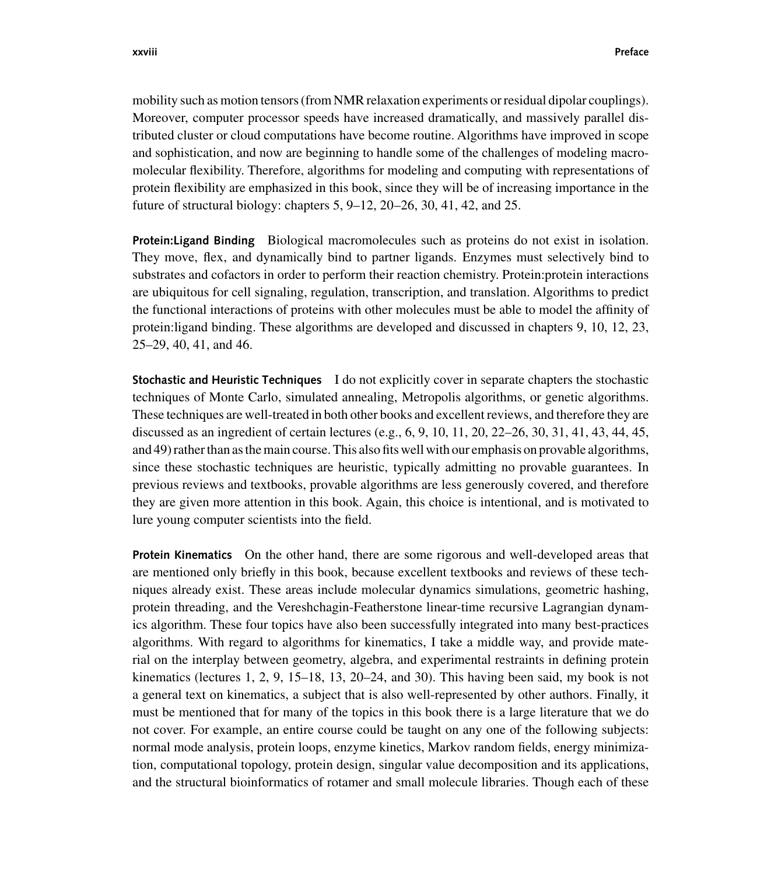mobility such as motion tensors (from NMR relaxation experiments or residual dipolar couplings). Moreover, computer processor speeds have increased dramatically, and massively parallel distributed cluster or cloud computations have become routine. Algorithms have improved in scope and sophistication, and now are beginning to handle some of the challenges of modeling macromolecular flexibility. Therefore, algorithms for modeling and computing with representations of protein flexibility are emphasized in this book, since they will be of increasing importance in the future of structural biology: chapters 5, 9–12, 20–26, 30, 41, 42, and 25.

**Protein:Ligand Binding** Biological macromolecules such as proteins do not exist in isolation. They move, flex, and dynamically bind to partner ligands. Enzymes must selectively bind to substrates and cofactors in order to perform their reaction chemistry. Protein:protein interactions are ubiquitous for cell signaling, regulation, transcription, and translation. Algorithms to predict the functional interactions of proteins with other molecules must be able to model the affinity of protein:ligand binding. These algorithms are developed and discussed in chapters 9, 10, 12, 23, 25–29, 40, 41, and 46.

**Stochastic and Heuristic Techniques** I do not explicitly cover in separate chapters the stochastic techniques of Monte Carlo, simulated annealing, Metropolis algorithms, or genetic algorithms. These techniques are well-treated in both other books and excellent reviews, and therefore they are discussed as an ingredient of certain lectures (e.g., 6, 9, 10, 11, 20, 22–26, 30, 31, 41, 43, 44, 45, and 49) rather than as the main course. This also fits well with our emphasis on provable algorithms, since these stochastic techniques are heuristic, typically admitting no provable guarantees. In previous reviews and textbooks, provable algorithms are less generously covered, and therefore they are given more attention in this book. Again, this choice is intentional, and is motivated to lure young computer scientists into the field.

**Protein Kinematics** On the other hand, there are some rigorous and well-developed areas that are mentioned only briefly in this book, because excellent textbooks and reviews of these techniques already exist. These areas include molecular dynamics simulations, geometric hashing, protein threading, and the Vereshchagin-Featherstone linear-time recursive Lagrangian dynamics algorithm. These four topics have also been successfully integrated into many best-practices algorithms. With regard to algorithms for kinematics, I take a middle way, and provide material on the interplay between geometry, algebra, and experimental restraints in defining protein kinematics (lectures 1, 2, 9, 15–18, 13, 20–24, and 30). This having been said, my book is not a general text on kinematics, a subject that is also well-represented by other authors. Finally, it must be mentioned that for many of the topics in this book there is a large literature that we do not cover. For example, an entire course could be taught on any one of the following subjects: normal mode analysis, protein loops, enzyme kinetics, Markov random fields, energy minimization, computational topology, protein design, singular value decomposition and its applications, and the structural bioinformatics of rotamer and small molecule libraries. Though each of these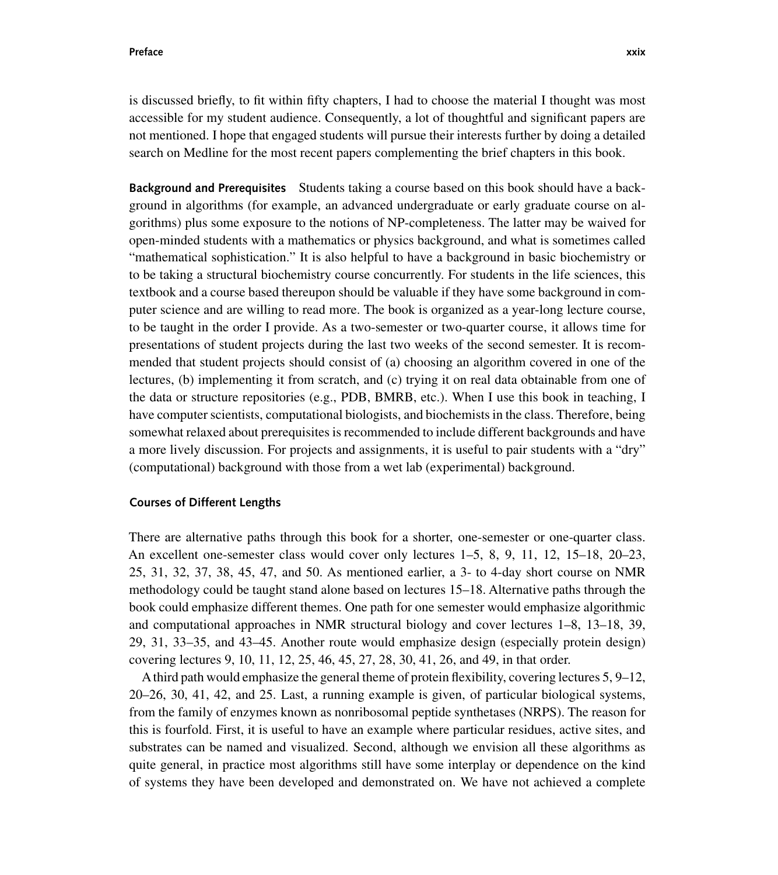**Preface xxix**

is discussed briefly, to fit within fifty chapters, I had to choose the material I thought was most accessible for my student audience. Consequently, a lot of thoughtful and significant papers are not mentioned. I hope that engaged students will pursue their interests further by doing a detailed search on Medline for the most recent papers complementing the brief chapters in this book.

**Background and Prerequisites** Students taking a course based on this book should have a background in algorithms (for example, an advanced undergraduate or early graduate course on algorithms) plus some exposure to the notions of NP-completeness. The latter may be waived for open-minded students with a mathematics or physics background, and what is sometimes called "mathematical sophistication." It is also helpful to have a background in basic biochemistry or to be taking a structural biochemistry course concurrently. For students in the life sciences, this textbook and a course based thereupon should be valuable if they have some background in computer science and are willing to read more. The book is organized as a year-long lecture course, to be taught in the order I provide. As a two-semester or two-quarter course, it allows time for presentations of student projects during the last two weeks of the second semester. It is recommended that student projects should consist of (a) choosing an algorithm covered in one of the lectures, (b) implementing it from scratch, and (c) trying it on real data obtainable from one of the data or structure repositories (e.g., PDB, BMRB, etc.). When I use this book in teaching, I have computer scientists, computational biologists, and biochemists in the class. Therefore, being somewhat relaxed about prerequisites is recommended to include different backgrounds and have a more lively discussion. For projects and assignments, it is useful to pair students with a "dry" (computational) background with those from a wet lab (experimental) background.

## **Courses of Different Lengths**

There are alternative paths through this book for a shorter, one-semester or one-quarter class. An excellent one-semester class would cover only lectures 1–5, 8, 9, 11, 12, 15–18, 20–23, 25, 31, 32, 37, 38, 45, 47, and 50. As mentioned earlier, a 3- to 4-day short course on NMR methodology could be taught stand alone based on lectures 15–18. Alternative paths through the book could emphasize different themes. One path for one semester would emphasize algorithmic and computational approaches in NMR structural biology and cover lectures 1–8, 13–18, 39, 29, 31, 33–35, and 43–45. Another route would emphasize design (especially protein design) covering lectures 9, 10, 11, 12, 25, 46, 45, 27, 28, 30, 41, 26, and 49, in that order.

Athird path would emphasize the general theme of protein flexibility, covering lectures 5, 9–12, 20–26, 30, 41, 42, and 25. Last, a running example is given, of particular biological systems, from the family of enzymes known as nonribosomal peptide synthetases (NRPS). The reason for this is fourfold. First, it is useful to have an example where particular residues, active sites, and substrates can be named and visualized. Second, although we envision all these algorithms as quite general, in practice most algorithms still have some interplay or dependence on the kind of systems they have been developed and demonstrated on. We have not achieved a complete